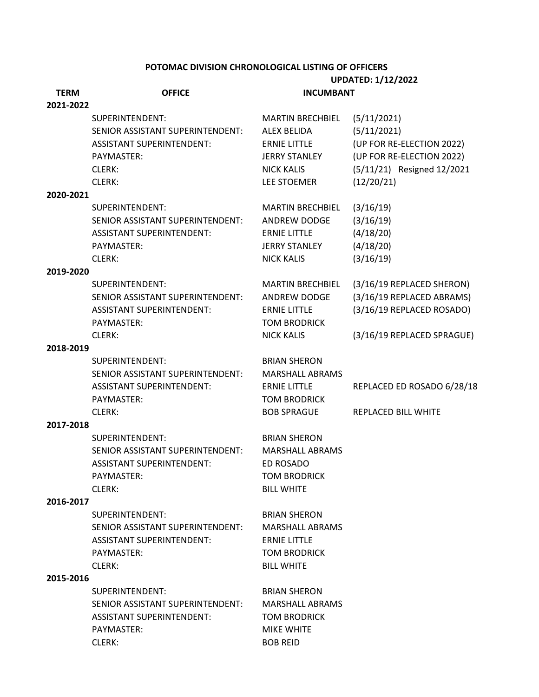#### **POTOMAC DIVISION CHRONOLOGICAL LISTING OF OFFICERS**

|             |                                  | <b>UPDATED: 1/12/2022</b> |                            |
|-------------|----------------------------------|---------------------------|----------------------------|
| <b>TERM</b> | <b>OFFICE</b>                    | <b>INCUMBANT</b>          |                            |
| 2021-2022   |                                  |                           |                            |
|             | SUPERINTENDENT:                  | <b>MARTIN BRECHBIEL</b>   | (5/11/2021)                |
|             | SENIOR ASSISTANT SUPERINTENDENT: | <b>ALEX BELIDA</b>        | (5/11/2021)                |
|             | <b>ASSISTANT SUPERINTENDENT:</b> | <b>ERNIE LITTLE</b>       | (UP FOR RE-ELECTION 2022)  |
|             | PAYMASTER:                       | <b>JERRY STANLEY</b>      | (UP FOR RE-ELECTION 2022)  |
|             | CLERK:                           | <b>NICK KALIS</b>         | (5/11/21) Resigned 12/2021 |
|             | CLERK:                           | LEE STOEMER               | (12/20/21)                 |
| 2020-2021   |                                  |                           |                            |
|             | SUPERINTENDENT:                  | <b>MARTIN BRECHBIEL</b>   | (3/16/19)                  |
|             | SENIOR ASSISTANT SUPERINTENDENT: | ANDREW DODGE              | (3/16/19)                  |
|             | <b>ASSISTANT SUPERINTENDENT:</b> | <b>ERNIE LITTLE</b>       | (4/18/20)                  |
|             | PAYMASTER:                       | <b>JERRY STANLEY</b>      | (4/18/20)                  |
|             | CLERK:                           | <b>NICK KALIS</b>         | (3/16/19)                  |
| 2019-2020   |                                  |                           |                            |
|             | SUPERINTENDENT:                  | <b>MARTIN BRECHBIEL</b>   | (3/16/19 REPLACED SHERON)  |
|             | SENIOR ASSISTANT SUPERINTENDENT: | ANDREW DODGE              | (3/16/19 REPLACED ABRAMS)  |
|             | <b>ASSISTANT SUPERINTENDENT:</b> | <b>ERNIE LITTLE</b>       | (3/16/19 REPLACED ROSADO)  |
|             | PAYMASTER:                       | <b>TOM BRODRICK</b>       |                            |
|             | CLERK:                           | <b>NICK KALIS</b>         | (3/16/19 REPLACED SPRAGUE) |
| 2018-2019   |                                  |                           |                            |
|             | SUPERINTENDENT:                  | <b>BRIAN SHERON</b>       |                            |
|             | SENIOR ASSISTANT SUPERINTENDENT: | <b>MARSHALL ABRAMS</b>    |                            |
|             | <b>ASSISTANT SUPERINTENDENT:</b> | <b>ERNIE LITTLE</b>       | REPLACED ED ROSADO 6/28/18 |
|             | PAYMASTER:                       | <b>TOM BRODRICK</b>       |                            |
|             | CLERK:                           | <b>BOB SPRAGUE</b>        | REPLACED BILL WHITE        |
| 2017-2018   |                                  |                           |                            |
|             | SUPERINTENDENT:                  | <b>BRIAN SHERON</b>       |                            |
|             | SENIOR ASSISTANT SUPERINTENDENT: | <b>MARSHALL ABRAMS</b>    |                            |
|             | <b>ASSISTANT SUPERINTENDENT:</b> | ED ROSADO                 |                            |
|             | PAYMASTER:                       | <b>TOM BRODRICK</b>       |                            |
|             | CLERK:                           | <b>BILL WHITE</b>         |                            |
| 2016-2017   |                                  |                           |                            |
|             | SUPERINTENDENT:                  | <b>BRIAN SHERON</b>       |                            |
|             | SENIOR ASSISTANT SUPERINTENDENT: | <b>MARSHALL ABRAMS</b>    |                            |
|             | <b>ASSISTANT SUPERINTENDENT:</b> | <b>ERNIE LITTLE</b>       |                            |
|             | PAYMASTER:                       | <b>TOM BRODRICK</b>       |                            |
|             | CLERK:                           | <b>BILL WHITE</b>         |                            |
| 2015-2016   |                                  |                           |                            |
|             | SUPERINTENDENT:                  | <b>BRIAN SHERON</b>       |                            |
|             | SENIOR ASSISTANT SUPERINTENDENT: | <b>MARSHALL ABRAMS</b>    |                            |
|             | <b>ASSISTANT SUPERINTENDENT:</b> | <b>TOM BRODRICK</b>       |                            |
|             | PAYMASTER:                       | <b>MIKE WHITE</b>         |                            |
|             | CLERK:                           | <b>BOB REID</b>           |                            |
|             |                                  |                           |                            |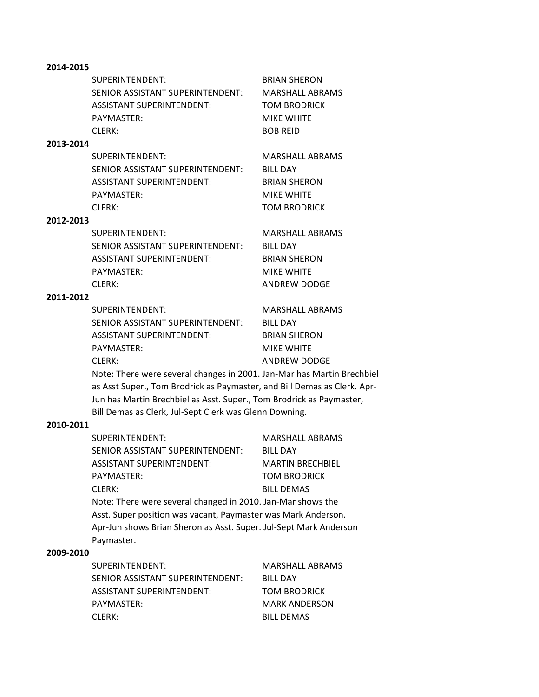## **2014-2015**

|           | SUPERINTENDENT:                  | <b>BRIAN SHERON</b>    |
|-----------|----------------------------------|------------------------|
|           | SENIOR ASSISTANT SUPERINTENDENT: | <b>MARSHALL ABRAMS</b> |
|           | <b>ASSISTANT SUPERINTENDENT:</b> | TOM BRODRICK           |
|           | PAYMASTER:                       | <b>MIKE WHITE</b>      |
|           | CIERK:                           | <b>BOB REID</b>        |
| 2013-2014 |                                  |                        |
|           | SUPERINTENDENT:                  | <b>MARSHALL ABRAMS</b> |
|           | SENIOR ASSISTANT SUPERINTENDENT: | <b>BILL DAY</b>        |
|           | <b>ASSISTANT SUPERINTENDENT:</b> | <b>BRIAN SHERON</b>    |
|           | PAYMASTER:                       | <b>MIKE WHITE</b>      |

CLERK: TOM BRODRICK

### **2012-2013**

| SUPERINTENDENT:                  | MARSHALL ABRAMS     |
|----------------------------------|---------------------|
| SENIOR ASSISTANT SUPERINTENDENT: | BILL DAY            |
| ASSISTANT SUPERINTENDENT:        | <b>BRIAN SHERON</b> |
| PAYMASTER:                       | <b>MIKE WHITE</b>   |
| CLERK:                           | ANDREW DODGE        |

#### **2011-2012**

SUPERINTENDENT: MARSHALL ABRAMS SENIOR ASSISTANT SUPERINTENDENT: BILL DAY ASSISTANT SUPERINTENDENT: BRIAN SHERON PAYMASTER: MIKE WHITE

CLERK: ANDREW DODGE

Note: There were several changes in 2001. Jan-Mar has Martin Brechbiel as Asst Super., Tom Brodrick as Paymaster, and Bill Demas as Clerk. Apr-Jun has Martin Brechbiel as Asst. Super., Tom Brodrick as Paymaster, Bill Demas as Clerk, Jul-Sept Clerk was Glenn Downing.

#### **2010-2011**

| SUPERINTENDENT:                                                                                                                                  | <b>MARSHALL ABRAMS</b>  |
|--------------------------------------------------------------------------------------------------------------------------------------------------|-------------------------|
| SENIOR ASSISTANT SUPERINTENDENT:                                                                                                                 | <b>BILL DAY</b>         |
| <b>ASSISTANT SUPERINTENDENT:</b>                                                                                                                 | <b>MARTIN BRECHBIEL</b> |
| PAYMASTER:                                                                                                                                       | <b>TOM BRODRICK</b>     |
| CLERK:                                                                                                                                           | <b>BILL DEMAS</b>       |
| Note: There were several changed in 2010. Jan-Mar shows the                                                                                      |                         |
| Asst. Super position was vacant, Paymaster was Mark Anderson.<br>Apr-Jun shows Brian Sheron as Asst. Super. Jul-Sept Mark Anderson<br>Paymaster. |                         |

#### **2009-2010**

| SUPERINTENDENT:                  | <b>MARSHALL ABRAMS</b> |
|----------------------------------|------------------------|
| SENIOR ASSISTANT SUPERINTENDENT: | <b>BILL DAY</b>        |
| ASSISTANT SUPERINTENDENT:        | <b>TOM BRODRICK</b>    |
| PAYMASTER:                       | <b>MARK ANDERSON</b>   |
| CLERK:                           | <b>BILL DEMAS</b>      |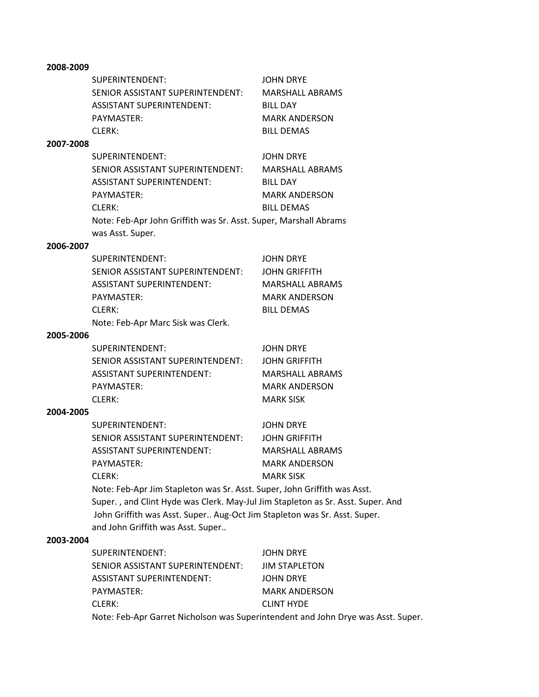|           | SUPERINTENDENT:                  | <b>JOHN DRYE</b>     |
|-----------|----------------------------------|----------------------|
|           | SENIOR ASSISTANT SUPERINTENDENT: | MARSHALL ABRAMS      |
|           | <b>ASSISTANT SUPERINTENDENT:</b> | <b>BILL DAY</b>      |
|           | PAYMASTER:                       | <b>MARK ANDERSON</b> |
|           | CIERK:                           | <b>BILL DEMAS</b>    |
| 2007-2008 |                                  |                      |
|           | SUPERINTENDENT:                  | JOHN DRYE            |

| SENIOR ASSISTANT SUPERINTENDENT: .                               | <b>MARSHALL ABRAMS</b> |  |
|------------------------------------------------------------------|------------------------|--|
| ASSISTANT SUPERINTENDENT:                                        | <b>BILL DAY</b>        |  |
| PAYMASTER:                                                       | <b>MARK ANDERSON</b>   |  |
| CLERK:                                                           | <b>BILL DEMAS</b>      |  |
| Note: Feb-Apr John Griffith was Sr. Asst. Super, Marshall Abrams |                        |  |
| was Asst. Super.                                                 |                        |  |

#### **2006-2007**

| SUPERINTENDENT:                    | <b>JOHN DRYE</b>     |
|------------------------------------|----------------------|
| SENIOR ASSISTANT SUPERINTENDENT:   | <b>JOHN GRIFFITH</b> |
| <b>ASSISTANT SUPERINTENDENT:</b>   | MARSHALL ABRAMS      |
| PAYMASTER:                         | <b>MARK ANDERSON</b> |
| CLERK:                             | <b>BILL DEMAS</b>    |
| Note: Feb-Apr Marc Sisk was Clerk. |                      |

## **2005-2006**

| SUPERINTENDENT:                  | <b>JOHN DRYE</b>     |
|----------------------------------|----------------------|
| SENIOR ASSISTANT SUPERINTENDENT: | <b>JOHN GRIFFITH</b> |
| ASSISTANT SUPERINTENDENT:        | MARSHALL ABRAMS      |
| PAYMASTER:                       | MARK ANDERSON        |
| CLERK: I                         | MARK SISK            |
|                                  |                      |

# **2004-2005**

| SUPERINTENDENT:                  | <b>JOHN DRYE</b> |
|----------------------------------|------------------|
| SENIOR ASSISTANT SUPERINTENDENT: | JOHN GRIFFITH    |
| ASSISTANT SUPERINTENDENT:        | MARSHALL ABRAMS  |
| PAYMASTER:                       | MARK ANDERSON    |
| CLERK: I                         | MARK SISK        |

Note: Feb-Apr Jim Stapleton was Sr. Asst. Super, John Griffith was Asst. Super. , and Clint Hyde was Clerk. May-Jul Jim Stapleton as Sr. Asst. Super. And John Griffith was Asst. Super.. Aug-Oct Jim Stapleton was Sr. Asst. Super. and John Griffith was Asst. Super..

## **2003-2004**

| SUPERINTENDENT:                                                                  | <b>JOHN DRYE</b>     |  |
|----------------------------------------------------------------------------------|----------------------|--|
| SENIOR ASSISTANT SUPERINTENDENT:                                                 | <b>JIM STAPLETON</b> |  |
| ASSISTANT SUPERINTENDENT:                                                        | JOHN DRYE            |  |
| PAYMASTER:                                                                       | <b>MARK ANDERSON</b> |  |
| CLERK:                                                                           | <b>CLINT HYDE</b>    |  |
| Note: Feb-Apr Garret Nicholson was Superintendent and John Drye was Asst. Super. |                      |  |